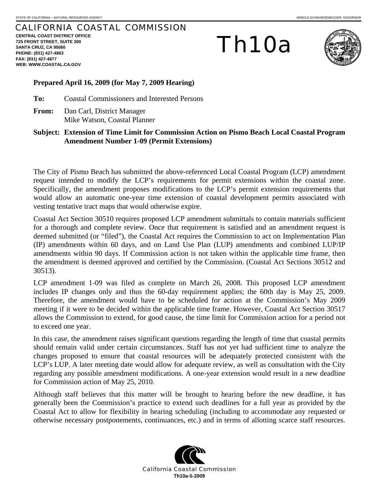# CALIFORNIA COASTAL COMMISSION

**CENTRAL COAST DISTRICT OFFICE 725 FRONT STREET, SUITE 300 SANTA CRUZ, CA 95060 PHONE: (831) 427-4863 FAX: (831) 427-4877 WEB: WWW.COASTAL.CA.GOV**

# Th10a



#### **Prepared April 16, 2009 (for May 7, 2009 Hearing)**

**To:** Coastal Commissioners and Interested Persons

**From:** Dan Carl, District Manager Mike Watson, Coastal Planner

## **Subject: Extension of Time Limit for Commission Action on Pismo Beach Local Coastal Program Amendment Number 1-09 (Permit Extensions)**

The City of Pismo Beach has submitted the above-referenced Local Coastal Program (LCP) amendment request intended to modify the LCP's requirements for permit extensions within the coastal zone. Specifically, the amendment proposes modifications to the LCP's permit extension requirements that would allow an automatic one-year time extension of coastal development permits associated with vesting tentative tract maps that would otherwise expire.

Coastal Act Section 30510 requires proposed LCP amendment submittals to contain materials sufficient for a thorough and complete review. Once that requirement is satisfied and an amendment request is deemed submitted (or "filed"), the Coastal Act requires the Commission to act on Implementation Plan (IP) amendments within 60 days, and on Land Use Plan (LUP) amendments and combined LUP/IP amendments within 90 days. If Commission action is not taken within the applicable time frame, then the amendment is deemed approved and certified by the Commission. (Coastal Act Sections 30512 and 30513).

LCP amendment 1-09 was filed as complete on March 26, 2008. This proposed LCP amendment includes IP changes only and thus the 60-day requirement applies; the 60th day is May 25, 2009. Therefore, the amendment would have to be scheduled for action at the Commission's May 2009 meeting if it were to be decided within the applicable time frame. However, Coastal Act Section 30517 allows the Commission to extend, for good cause, the time limit for Commission action for a period not to exceed one year.

In this case, the amendment raises significant questions regarding the length of time that coastal permits should remain valid under certain circumstances. Staff has not yet had sufficient time to analyze the changes proposed to ensure that coastal resources will be adequately protected consistent with the LCP's LUP. A later meeting date would allow for adequate review, as well as consultation with the City regarding any possible amendment modifications. A one-year extension would result in a new deadline for Commission action of May 25, 2010.

Although staff believes that this matter will be brought to hearing before the new deadline, it has generally been the Commission's practice to extend such deadlines for a full year as provided by the Coastal Act to allow for flexibility in hearing scheduling (including to accommodate any requested or otherwise necessary postponements, continuances, etc.) and in terms of allotting scarce staff resources.